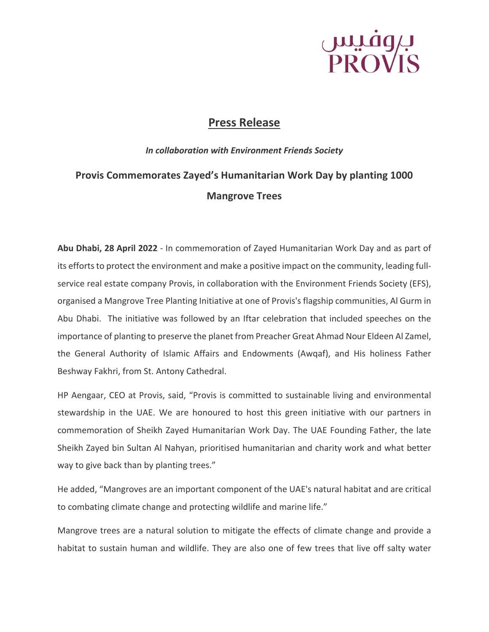# بروفیس<br>PROVIS

### **Press Release**

### *In collaboration with Environment Friends Society* **Provis Commemorates Zayed's Humanitarian Work Day by planting 1000 Mangrove Trees**

**Abu Dhabi, 28 April 2022** - In commemoration of Zayed Humanitarian Work Day and as part of its efforts to protect the environment and make a positive impact on the community, leading fullservice real estate company Provis, in collaboration with the Environment Friends Society (EFS), organised a Mangrove Tree Planting Initiative at one of Provis's flagship communities, Al Gurm in Abu Dhabi. The initiative was followed by an Iftar celebration that included speeches on the importance of planting to preserve the planet from Preacher Great Ahmad Nour Eldeen Al Zamel, the General Authority of Islamic Affairs and Endowments (Awqaf), and His holiness Father Beshway Fakhri, from St. Antony Cathedral.

HP Aengaar, CEO at Provis, said, "Provis is committed to sustainable living and environmental stewardship in the UAE. We are honoured to host this green initiative with our partners in commemoration of Sheikh Zayed Humanitarian Work Day. The UAE Founding Father, the late Sheikh Zayed bin Sultan Al Nahyan, prioritised humanitarian and charity work and what better way to give back than by planting trees."

He added, "Mangroves are an important component of the UAE's natural habitat and are critical to combating climate change and protecting wildlife and marine life."

Mangrove trees are a natural solution to mitigate the effects of climate change and provide a habitat to sustain human and wildlife. They are also one of few trees that live off salty water